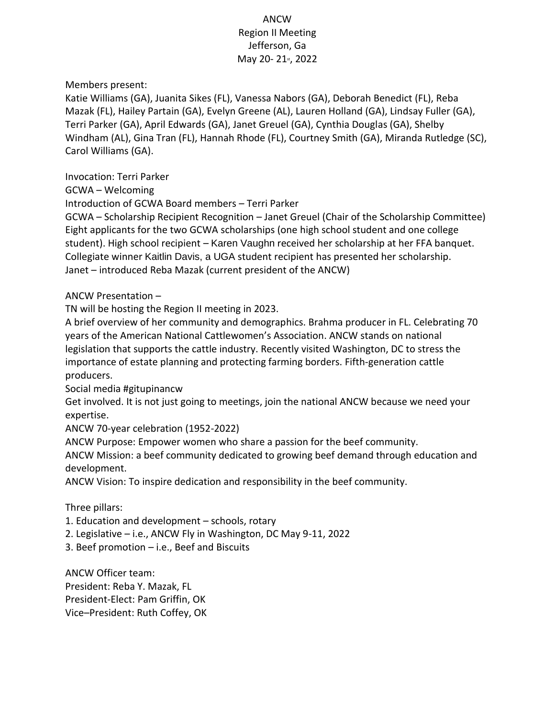ANCW Region II Meeting Jefferson, Ga May 20-21st, 2022

Members present:

Katie Williams (GA), Juanita Sikes (FL), Vanessa Nabors (GA), Deborah Benedict (FL), Reba Mazak (FL), Hailey Partain (GA), Evelyn Greene (AL), Lauren Holland (GA), Lindsay Fuller (GA), Terri Parker (GA), April Edwards (GA), Janet Greuel (GA), Cynthia Douglas (GA), Shelby Windham (AL), Gina Tran (FL), Hannah Rhode (FL), Courtney Smith (GA), Miranda Rutledge (SC), Carol Williams (GA).

Invocation: Terri Parker

GCWA – Welcoming

Introduction of GCWA Board members – Terri Parker

GCWA – Scholarship Recipient Recognition – Janet Greuel (Chair of the Scholarship Committee) Eight applicants for the two GCWA scholarships (one high school student and one college student). High school recipient – Karen Vaughn received her scholarship at her FFA banquet. Collegiate winner Kaitlin Davis, a UGA student recipient has presented her scholarship. Janet – introduced Reba Mazak (current president of the ANCW)

ANCW Presentation –

TN will be hosting the Region II meeting in 2023.

A brief overview of her community and demographics. Brahma producer in FL. Celebrating 70 years of the American National Cattlewomen's Association. ANCW stands on national legislation that supports the cattle industry. Recently visited Washington, DC to stress the importance of estate planning and protecting farming borders. Fifth-generation cattle producers.

Social media #gitupinancw

Get involved. It is not just going to meetings, join the national ANCW because we need your expertise.

ANCW 70-year celebration (1952-2022)

ANCW Purpose: Empower women who share a passion for the beef community.

ANCW Mission: a beef community dedicated to growing beef demand through education and development.

ANCW Vision: To inspire dedication and responsibility in the beef community.

Three pillars:

1. Education and development – schools, rotary

2. Legislative – i.e., ANCW Fly in Washington, DC May 9-11, 2022

3. Beef promotion – i.e., Beef and Biscuits

ANCW Officer team: President: Reba Y. Mazak, FL President-Elect: Pam Griffin, OK Vice–President: Ruth Coffey, OK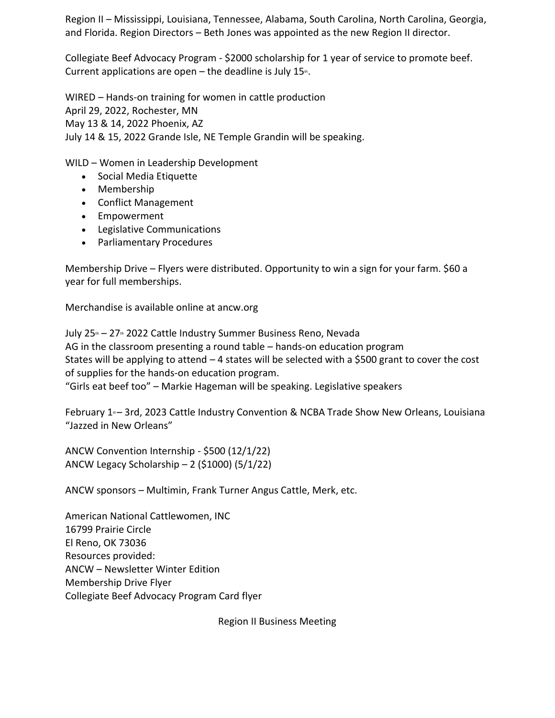Region II – Mississippi, Louisiana, Tennessee, Alabama, South Carolina, North Carolina, Georgia, and Florida. Region Directors – Beth Jones was appointed as the new Region II director.

Collegiate Beef Advocacy Program - \$2000 scholarship for 1 year of service to promote beef. Current applications are open  $-$  the deadline is July 15<sup>th</sup>.

WIRED – Hands-on training for women in cattle production April 29, 2022, Rochester, MN May 13 & 14, 2022 Phoenix, AZ July 14 & 15, 2022 Grande Isle, NE Temple Grandin will be speaking.

WILD – Women in Leadership Development

- Social Media Etiquette
- Membership
- Conflict Management
- Empowerment
- Legislative Communications
- Parliamentary Procedures

Membership Drive – Flyers were distributed. Opportunity to win a sign for your farm. \$60 a year for full memberships.

Merchandise is available online at ancw.org

July 25<sup>th</sup> – 27<sup>th</sup> 2022 Cattle Industry Summer Business Reno, Nevada AG in the classroom presenting a round table – hands-on education program States will be applying to attend – 4 states will be selected with a \$500 grant to cover the cost of supplies for the hands-on education program. "Girls eat beef too" – Markie Hageman will be speaking. Legislative speakers

February 1<sup>®</sup> – 3rd, 2023 Cattle Industry Convention & NCBA Trade Show New Orleans, Louisiana "Jazzed in New Orleans"

ANCW Convention Internship - \$500 (12/1/22) ANCW Legacy Scholarship – 2 (\$1000) (5/1/22)

ANCW sponsors – Multimin, Frank Turner Angus Cattle, Merk, etc.

American National Cattlewomen, INC 16799 Prairie Circle El Reno, OK 73036 Resources provided: ANCW – Newsletter Winter Edition Membership Drive Flyer Collegiate Beef Advocacy Program Card flyer

Region II Business Meeting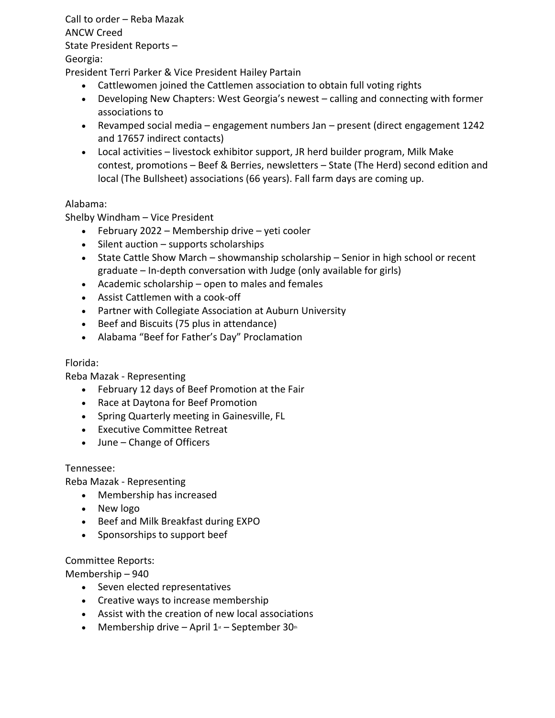Call to order – Reba Mazak ANCW Creed State President Reports – Georgia:

President Terri Parker & Vice President Hailey Partain

- Cattlewomen joined the Cattlemen association to obtain full voting rights
- Developing New Chapters: West Georgia's newest calling and connecting with former associations to
- Revamped social media engagement numbers Jan present (direct engagement 1242 and 17657 indirect contacts)
- Local activities livestock exhibitor support, JR herd builder program, Milk Make contest, promotions – Beef & Berries, newsletters – State (The Herd) second edition and local (The Bullsheet) associations (66 years). Fall farm days are coming up.

## Alabama:

Shelby Windham – Vice President

- February 2022 Membership drive yeti cooler
- Silent auction supports scholarships
- State Cattle Show March showmanship scholarship Senior in high school or recent graduate – In-depth conversation with Judge (only available for girls)
- Academic scholarship open to males and females
- Assist Cattlemen with a cook-off
- Partner with Collegiate Association at Auburn University
- Beef and Biscuits (75 plus in attendance)
- Alabama "Beef for Father's Day" Proclamation

## Florida:

Reba Mazak - Representing

- February 12 days of Beef Promotion at the Fair
- Race at Daytona for Beef Promotion
- Spring Quarterly meeting in Gainesville, FL
- Executive Committee Retreat
- June Change of Officers

## Tennessee:

Reba Mazak - Representing

- Membership has increased
- New logo
- Beef and Milk Breakfast during EXPO
- Sponsorships to support beef

## Committee Reports:

Membership – 940

- Seven elected representatives
- Creative ways to increase membership
- Assist with the creation of new local associations
- Membership drive April  $1<sup>s</sup>$  September 30<sup>th</sup>